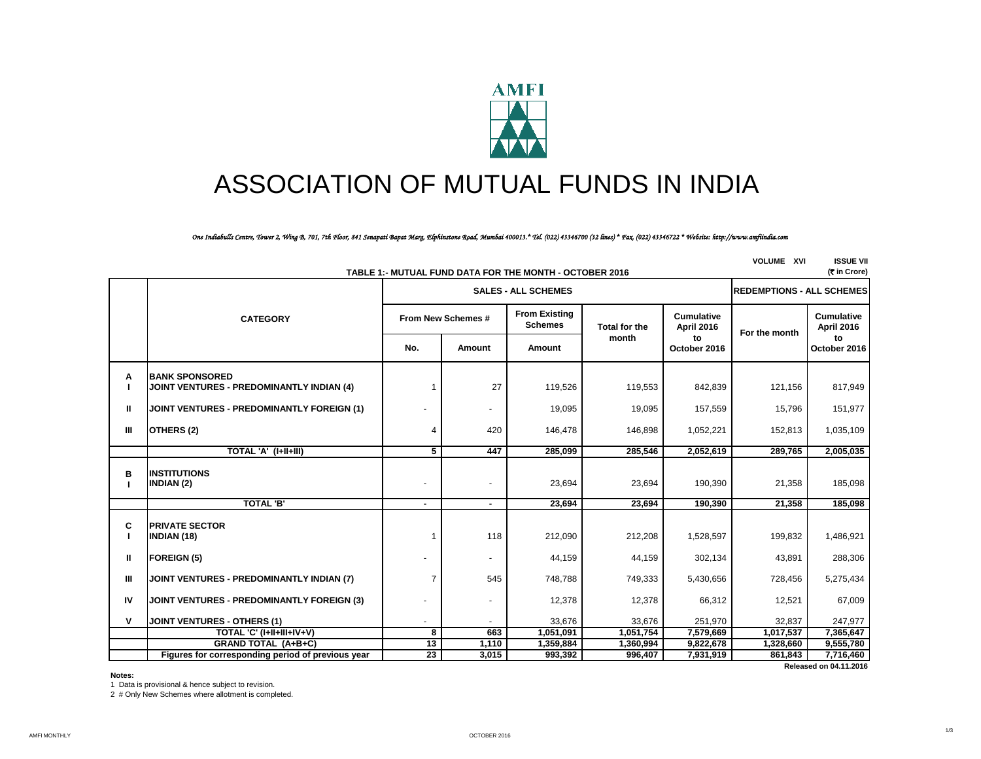

# ASSOCIATION OF MUTUAL FUNDS IN INDIA

## *One Indiabulls Centre, Tower 2, Wing B, 701, 7th Floor, 841 Senapati Bapat Marg, Elphinstone Road, Mumbai 400013.\* Tel. (022) 43346700 (32 lines) \* Fax. (022) 43346722 \* Website: http://www.amfiindia.com*

| <b>VOLUME XVI</b><br><b>ISSUE VII</b><br>(<br>(<br>T<br>(<br>T<br>Crore)<br>TABLE 1:- MUTUAL FUND DATA FOR THE MONTH - OCTOBER 2016 |                                                                           |                                  |        |                                        |                      |                                 |               |                                 |
|-------------------------------------------------------------------------------------------------------------------------------------|---------------------------------------------------------------------------|----------------------------------|--------|----------------------------------------|----------------------|---------------------------------|---------------|---------------------------------|
|                                                                                                                                     |                                                                           | <b>REDEMPTIONS - ALL SCHEMES</b> |        |                                        |                      |                                 |               |                                 |
|                                                                                                                                     | <b>CATEGORY</b>                                                           | From New Schemes #               |        | <b>From Existing</b><br><b>Schemes</b> | <b>Total for the</b> | <b>Cumulative</b><br>April 2016 | For the month | <b>Cumulative</b><br>April 2016 |
|                                                                                                                                     |                                                                           | No.                              | Amount | Amount                                 | month                | to<br>October 2016              |               | to<br>October 2016              |
| Α                                                                                                                                   | <b>BANK SPONSORED</b><br><b>JOINT VENTURES - PREDOMINANTLY INDIAN (4)</b> |                                  | 27     | 119,526                                | 119,553              | 842,839                         | 121,156       | 817,949                         |
| Ш                                                                                                                                   | <b>JOINT VENTURES - PREDOMINANTLY FOREIGN (1)</b>                         |                                  |        | 19,095                                 | 19,095               | 157,559                         | 15,796        | 151,977                         |
| Ш                                                                                                                                   | OTHERS (2)                                                                | 4                                | 420    | 146,478                                | 146,898              | 1,052,221                       | 152,813       | 1,035,109                       |
|                                                                                                                                     | TOTAL 'A' (I+II+III)                                                      | 5                                | 447    | 285,099                                | 285,546              | 2,052,619                       | 289,765       | 2,005,035                       |
| в                                                                                                                                   | <b>INSTITUTIONS</b><br>INDIAN (2)                                         | $\overline{\phantom{a}}$         |        | 23,694                                 | 23,694               | 190,390                         | 21,358        | 185,098                         |
|                                                                                                                                     | <b>TOTAL 'B'</b>                                                          |                                  |        | 23,694                                 | 23,694               | 190,390                         | 21,358        | 185,098                         |
| C<br>Ι.                                                                                                                             | <b>PRIVATE SECTOR</b><br><b>INDIAN (18)</b>                               | $\overline{1}$                   | 118    | 212,090                                | 212,208              | 1,528,597                       | 199,832       | 1,486,921                       |
| H                                                                                                                                   | <b>FOREIGN (5)</b>                                                        |                                  |        | 44,159                                 | 44,159               | 302,134                         | 43,891        | 288,306                         |
| Ш                                                                                                                                   | JOINT VENTURES - PREDOMINANTLY INDIAN (7)                                 | 7                                | 545    | 748,788                                | 749,333              | 5,430,656                       | 728,456       | 5,275,434                       |
| IV                                                                                                                                  | JOINT VENTURES - PREDOMINANTLY FOREIGN (3)                                |                                  |        | 12,378                                 | 12,378               | 66,312                          | 12,521        | 67,009                          |
| v                                                                                                                                   | <b>JOINT VENTURES - OTHERS (1)</b>                                        |                                  |        | 33,676                                 | 33,676               | 251,970                         | 32,837        | 247,977                         |
|                                                                                                                                     | TOTAL 'C' (I+II+III+IV+V)                                                 | 8                                | 663    | 1,051,091                              | 1,051,754            | 7,579,669                       | 1,017,537     | 7,365,647                       |
|                                                                                                                                     | <b>GRAND TOTAL (A+B+C)</b>                                                | 13                               | 1,110  | 1,359,884                              | 1,360,994            | 9,822,678                       | 1,328,660     | 9,555,780                       |
|                                                                                                                                     | Figures for corresponding period of previous year                         | 23                               | 3,015  | 993,392                                | 996,407              | 7,931,919                       | 861,843       | 7,716,460                       |
|                                                                                                                                     |                                                                           |                                  |        |                                        |                      |                                 |               | Released on 04.11.2016          |

**Notes:**

1 Data is provisional & hence subject to revision.

2 # Only New Schemes where allotment is completed.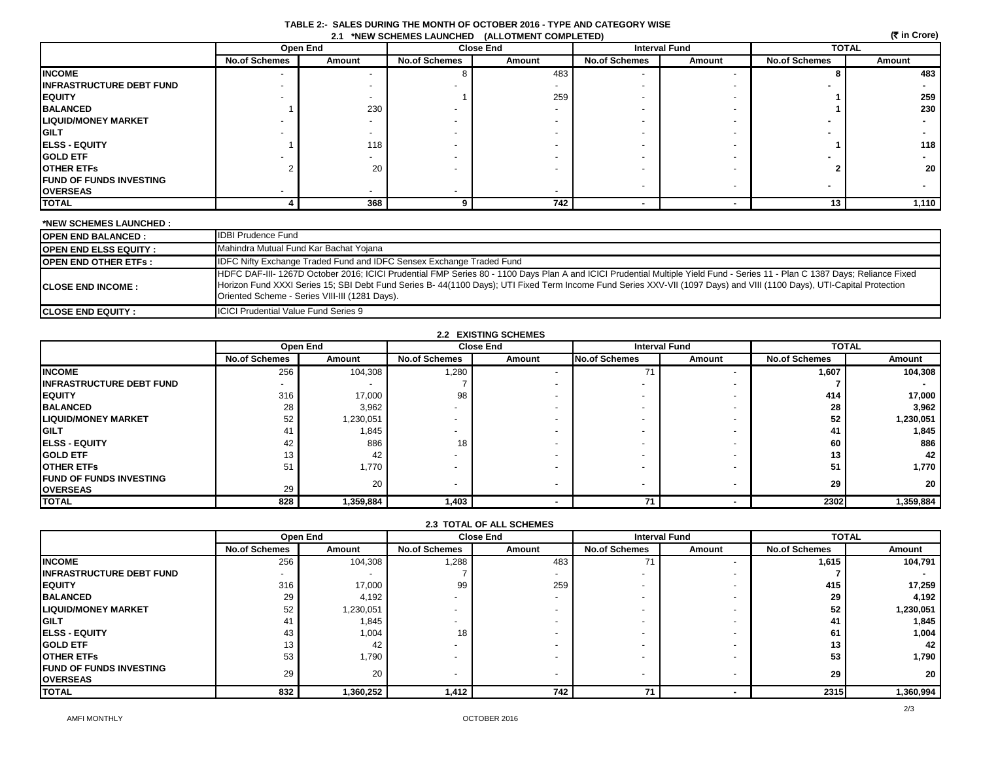| TABLE 2:- SALES DURING THE MONTH OF OCTOBER 2016 - TYPE AND CATEGORY WISE |  |
|---------------------------------------------------------------------------|--|
| 2.1 *NEW SCHEMES LAUNCHED (ALLOTMENT COMPLETED)                           |  |

|                                 | (रैं in Crore)<br>2.1 *NEW SCHEMES LAUNCHED (ALLOTMENT COMPLETED) |          |                      |        |                      |        |                      |                 |  |
|---------------------------------|-------------------------------------------------------------------|----------|----------------------|--------|----------------------|--------|----------------------|-----------------|--|
|                                 |                                                                   | Open End | <b>Close End</b>     |        | <b>Interval Fund</b> |        | <b>TOTAL</b>         |                 |  |
|                                 | <b>No.of Schemes</b>                                              | Amount   | <b>No.of Schemes</b> | Amount | <b>No.of Schemes</b> | Amount | <b>No.of Schemes</b> | Amount          |  |
| <b>INCOME</b>                   |                                                                   |          |                      | 483    |                      |        |                      | 483             |  |
| <b>INFRASTRUCTURE DEBT FUND</b> |                                                                   |          |                      |        |                      |        |                      |                 |  |
| <b>EQUITY</b>                   |                                                                   |          |                      | 259    |                      |        |                      | 259             |  |
| <b>BALANCED</b>                 |                                                                   | 230      |                      |        |                      |        |                      | 230             |  |
| <b>LIQUID/MONEY MARKET</b>      |                                                                   |          |                      |        |                      |        |                      |                 |  |
| <b>GILT</b>                     |                                                                   |          |                      |        |                      |        |                      |                 |  |
| <b>ELSS - EQUITY</b>            |                                                                   | 118      |                      |        |                      |        |                      | 118             |  |
| <b>GOLD ETF</b>                 |                                                                   |          |                      |        |                      |        |                      |                 |  |
| <b>OTHER ETFS</b>               |                                                                   | 20       |                      |        |                      |        |                      | 20 <sub>1</sub> |  |
| <b>FUND OF FUNDS INVESTING</b>  |                                                                   |          |                      |        |                      |        |                      |                 |  |
| <b>OVERSEAS</b>                 |                                                                   |          |                      |        |                      |        |                      |                 |  |
| <b>TOTAL</b>                    |                                                                   | 368      |                      | 742    |                      |        | 13                   | 1,110           |  |

| *NEW SCHEMES LAUNCHED :      |                                                                                                                                                                                                                                                                                                                                                                                                       |
|------------------------------|-------------------------------------------------------------------------------------------------------------------------------------------------------------------------------------------------------------------------------------------------------------------------------------------------------------------------------------------------------------------------------------------------------|
| <b>OPEN END BALANCED:</b>    | <b>IDBI Prudence Fund</b>                                                                                                                                                                                                                                                                                                                                                                             |
| <b>OPEN END ELSS EQUITY:</b> | Mahindra Mutual Fund Kar Bachat Yojana                                                                                                                                                                                                                                                                                                                                                                |
| <b>OPEN END OTHER ETFS:</b>  | IDFC Nifty Exchange Traded Fund and IDFC Sensex Exchange Traded Fund                                                                                                                                                                                                                                                                                                                                  |
| <b>ICLOSE END INCOME:</b>    | HDFC DAF-III-1267D October 2016; ICICI Prudential FMP Series 80 - 1100 Days Plan A and ICICI Prudential Multiple Yield Fund - Series 11 - Plan C 1387 Days; Reliance Fixed<br>Horizon Fund XXXI Series 15; SBI Debt Fund Series B-44(1100 Days); UTI Fixed Term Income Fund Series XXV-VII (1097 Days) and VIII (1100 Days), UTI-Capital Protection<br>Oriented Scheme - Series VIII-III (1281 Days). |
| <b>CLOSE END EQUITY:</b>     | <b>ICICI Prudential Value Fund Series 9</b>                                                                                                                                                                                                                                                                                                                                                           |

| <b>2.2 EXISTING SCHEMES</b> |  |
|-----------------------------|--|
|-----------------------------|--|

|                                 |                      | Open End  | <b>Close End</b>         |        | <b>Interval Fund</b> |        | <b>TOTAL</b>         |                 |
|---------------------------------|----------------------|-----------|--------------------------|--------|----------------------|--------|----------------------|-----------------|
|                                 | <b>No.of Schemes</b> | Amount    | <b>No.of Schemes</b>     | Amount | <b>No.of Schemes</b> | Amount | <b>No.of Schemes</b> | Amount          |
| <b>INCOME</b>                   | 256                  | 104,308   | 1,280                    |        |                      |        | 1,607                | 104,308         |
| <b>INFRASTRUCTURE DEBT FUND</b> |                      |           |                          |        |                      |        |                      |                 |
| <b>EQUITY</b>                   | 316                  | 17,000    | 98                       |        |                      |        | 414                  | 17,000          |
| <b>BALANCED</b>                 | 28                   | 3,962     |                          |        |                      |        | 28                   | 3,962           |
| <b>LIQUID/MONEY MARKET</b>      | 52                   | 1,230,051 |                          |        |                      |        | 52                   | 1,230,051       |
| <b>IGILT</b>                    | 41                   | 1,845     |                          |        |                      |        | 41                   | 1,845           |
| <b>ELSS - EQUITY</b>            | 42                   | 886       | 18                       |        |                      |        | 60                   | 886             |
| <b>GOLD ETF</b>                 |                      | 42        |                          |        |                      |        | 13                   | 42              |
| <b>OTHER ETFS</b>               | 51                   | 770. ا    |                          |        |                      |        | 51                   | 1,770           |
| <b>IFUND OF FUNDS INVESTING</b> |                      | 20        | $\overline{\phantom{0}}$ |        |                      |        | 29                   | 20 <sup>1</sup> |
| <b>IOVERSEAS</b>                | 29                   |           |                          |        |                      |        |                      |                 |
| <b>ITOTAL</b>                   | 828                  | 1,359,884 | 1,403                    |        |                      |        | 2302                 | 1,359,884       |

## **2.3 TOTAL OF ALL SCHEMES**

|                                  |                          | Open End        | <b>Close End</b>         |        |                          | <b>Interval Fund</b> |                      | <b>TOTAL</b> |  |
|----------------------------------|--------------------------|-----------------|--------------------------|--------|--------------------------|----------------------|----------------------|--------------|--|
|                                  | <b>No.of Schemes</b>     | Amount          | <b>No.of Schemes</b>     | Amount | <b>No.of Schemes</b>     | Amount               | <b>No.of Schemes</b> | Amount       |  |
| <b>IINCOME</b>                   | 256                      | 104,308         | 1,288                    | 483    |                          |                      | 1.615                | 104,791      |  |
| <b>IINFRASTRUCTURE DEBT FUND</b> | $\overline{\phantom{a}}$ |                 |                          |        | $\overline{\phantom{a}}$ |                      |                      |              |  |
| <b>IEQUITY</b>                   | 316                      | 17,000          | 99                       | 259    |                          |                      | 415                  | 17,259       |  |
| <b>BALANCED</b>                  | 29                       | 4,192           |                          |        | $\overline{\phantom{a}}$ |                      | 29                   | 4,192        |  |
| <b>LIQUID/MONEY MARKET</b>       | 52                       | 1,230,051       |                          |        | $\overline{\phantom{a}}$ |                      | 52                   | 230,051,     |  |
| <b>IGILT</b>                     | 4                        | 1,845           |                          |        | $\overline{\phantom{a}}$ |                      |                      | 1,845        |  |
| <b>IELSS - EQUITY</b>            | 43                       | 1,004           | 18 <sub>1</sub>          |        | $\overline{\phantom{a}}$ |                      | 61                   | 1,004        |  |
| <b>IGOLD ETF</b>                 | 13                       | 42              |                          |        | $\overline{\phantom{a}}$ |                      | 13                   | 42           |  |
| <b>OTHER ETFS</b>                | 53                       | 1,790           |                          |        |                          |                      | 53                   | 1,790        |  |
| <b>IFUND OF FUNDS INVESTING</b>  | 29                       | 20 <sub>1</sub> | $\overline{\phantom{a}}$ |        | $\overline{\phantom{a}}$ |                      | 29                   | 20           |  |
| <b>OVERSEAS</b>                  |                          |                 |                          |        |                          |                      |                      |              |  |
| <b>TOTAL</b>                     | 832                      | 1,360,252       | 1,412                    | 742    | 74                       |                      | 2315                 | 1,360,994    |  |